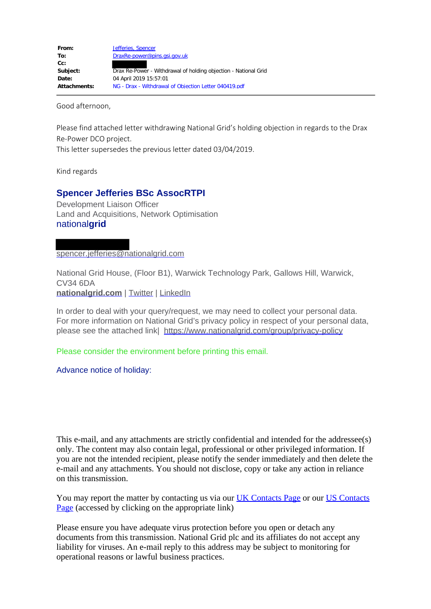Good afternoon,

Please find attached letter withdrawing National Grid's holding objection in regards to the Drax Re-Power DCO project.

This letter supersedes the previous letter dated 03/04/2019.

Kind regards

## **Spencer Jefferies BSc AssocRTPI**

Development Liaison Officer Land and Acquisitions, Network Optimisation national**grid**

spencer.jefferies@nationalgrid.com

National Grid House, (Floor B1), Warwick Technology Park, Gallows Hill, Warwick, CV34 6DA **[nationalgrid.com](https://www.nationalgrid.com/)** | [Twitter](https://twitter.com/nationalgriduk?lang=en) | [LinkedIn](https://uk.linkedin.com/company/national-grid)

In order to deal with your query/request, we may need to collect your personal data. For more information on National Grid's privacy policy in respect of your personal data, please see the attached link| <https://www.nationalgrid.com/group/privacy-policy>

Please consider the environment before printing this email.

Advance notice of holiday:

This e-mail, and any attachments are strictly confidential and intended for the addressee(s) only. The content may also contain legal, professional or other privileged information. If you are not the intended recipient, please notify the sender immediately and then delete the e-mail and any attachments. You should not disclose, copy or take any action in reliance on this transmission.

You may report the matter by contacting us via our **UK Contacts Page** or our **US Contacts** [Page](https://www1.nationalgridus.com/ContactUs) (accessed by clicking on the appropriate link)

Please ensure you have adequate virus protection before you open or detach any documents from this transmission. National Grid plc and its affiliates do not accept any liability for viruses. An e-mail reply to this address may be subject to monitoring for operational reasons or lawful business practices.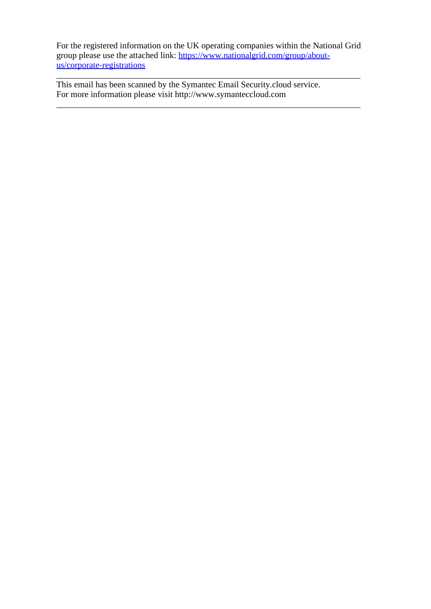For the registered information on the UK operating companies within the National Grid group please use the attached link: [https://www.nationalgrid.com/group/about](https://www.nationalgrid.com/group/about-us/corporate-registrations)[us/corporate-registrations](https://www.nationalgrid.com/group/about-us/corporate-registrations)

\_\_\_\_\_\_\_\_\_\_\_\_\_\_\_\_\_\_\_\_\_\_\_\_\_\_\_\_\_\_\_\_\_\_\_\_\_\_\_\_\_\_\_\_\_\_\_\_\_\_\_\_\_\_\_\_\_\_\_\_\_\_\_\_\_\_\_\_\_\_

\_\_\_\_\_\_\_\_\_\_\_\_\_\_\_\_\_\_\_\_\_\_\_\_\_\_\_\_\_\_\_\_\_\_\_\_\_\_\_\_\_\_\_\_\_\_\_\_\_\_\_\_\_\_\_\_\_\_\_\_\_\_\_\_\_\_\_\_\_\_ This email has been scanned by the Symantec Email Security.cloud service. For more information please visit http://www.symanteccloud.com